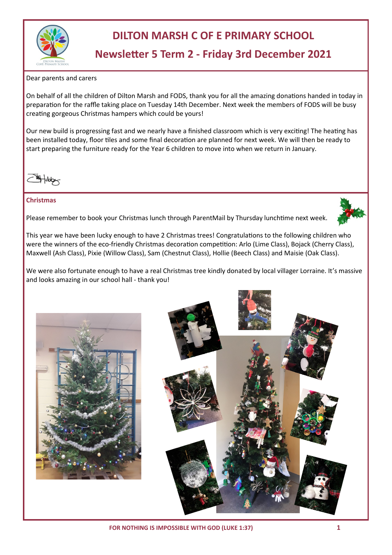

# **DILTON MARSH C OF E PRIMARY SCHOOL**

## **Newsletter 5 Term 2 - Friday 3rd December 2021**

Dear parents and carers

On behalf of all the children of Dilton Marsh and FODS, thank you for all the amazing donations handed in today in preparation for the raffle taking place on Tuesday 14th December. Next week the members of FODS will be busy creating gorgeous Christmas hampers which could be yours!

Our new build is progressing fast and we nearly have a finished classroom which is very exciting! The heating has been installed today, floor tiles and some final decoration are planned for next week. We will then be ready to start preparing the furniture ready for the Year 6 children to move into when we return in January.

#### **Christmas**

Please remember to book your Christmas lunch through ParentMail by Thursday lunchtime next week.



This year we have been lucky enough to have 2 Christmas trees! Congratulations to the following children who were the winners of the eco-friendly Christmas decoration competition: Arlo (Lime Class), Bojack (Cherry Class), Maxwell (Ash Class), Pixie (Willow Class), Sam (Chestnut Class), Hollie (Beech Class) and Maisie (Oak Class).

We were also fortunate enough to have a real Christmas tree kindly donated by local villager Lorraine. It's massive and looks amazing in our school hall - thank you!